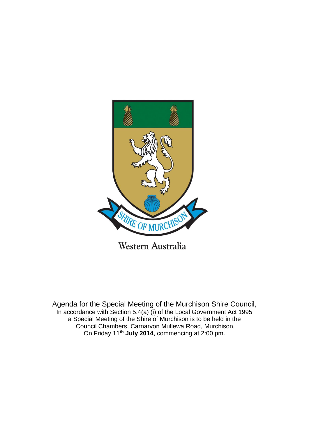

Agenda for the Special Meeting of the Murchison Shire Council, In accordance with Section 5.4(a) (i) of the Local Government Act 1995 a Special Meeting of the Shire of Murchison is to be held in the Council Chambers, Carnarvon Mullewa Road, Murchison, On Friday 11**th July 2014**, commencing at 2:00 pm.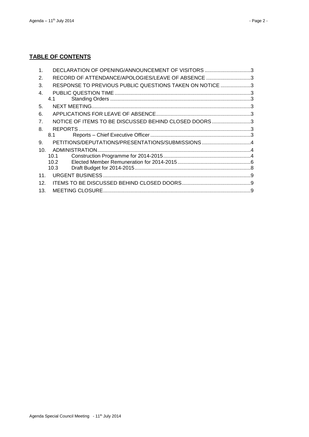# **TABLE OF CONTENTS**

| 1.              | DECLARATION OF OPENING/ANNOUNCEMENT OF VISITORS 3       |  |
|-----------------|---------------------------------------------------------|--|
| 2.              | RECORD OF ATTENDANCE/APOLOGIES/LEAVE OF ABSENCE 3       |  |
| 3.              | RESPONSE TO PREVIOUS PUBLIC QUESTIONS TAKEN ON NOTICE 3 |  |
| $\mathbf{4}$ .  |                                                         |  |
|                 | 4.1                                                     |  |
| 5.              |                                                         |  |
| 6.              |                                                         |  |
| 7.              | NOTICE OF ITEMS TO BE DISCUSSED BEHIND CLOSED DOORS3    |  |
| 8.              |                                                         |  |
|                 | 8.1                                                     |  |
| 9.              |                                                         |  |
| 10.             |                                                         |  |
|                 | 10.1                                                    |  |
|                 | 10.2                                                    |  |
|                 | 10.3                                                    |  |
| 11 <sub>1</sub> |                                                         |  |
| 12.             |                                                         |  |
| 13.             |                                                         |  |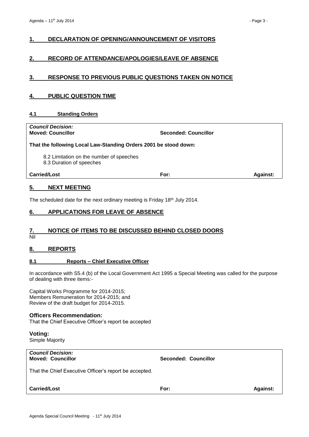# <span id="page-2-0"></span>**1. DECLARATION OF OPENING/ANNOUNCEMENT OF VISITORS**

# <span id="page-2-1"></span>**2. RECORD OF ATTENDANCE/APOLOGIES/LEAVE OF ABSENCE**

# <span id="page-2-2"></span>**3. RESPONSE TO PREVIOUS PUBLIC QUESTIONS TAKEN ON NOTICE**

# <span id="page-2-3"></span>**4. PUBLIC QUESTION TIME**

#### <span id="page-2-4"></span>**4.1 Standing Orders**

*Council Decision:*

**Moved: Councillor Seconded: Councillor Seconded: Councillor** 

#### **That the following Local Law-Standing Orders 2001 be stood down:**

8.2 Limitation on the number of speeches

8.3 Duration of speeches

**Carried/Lost For: Against:**

#### <span id="page-2-5"></span>**5. NEXT MEETING**

The scheduled date for the next ordinary meeting is Friday 18th July 2014.

# <span id="page-2-6"></span>**6. APPLICATIONS FOR LEAVE OF ABSENCE**

# <span id="page-2-7"></span>**7. NOTICE OF ITEMS TO BE DISCUSSED BEHIND CLOSED DOORS**

Nil

#### <span id="page-2-8"></span>**8. REPORTS**

#### <span id="page-2-9"></span>**8.1 Reports – Chief Executive Officer**

In accordance with S5.4 (b) of the Local Government Act 1995 a Special Meeting was called for the purpose of dealing with three items:-

Capital Works Programme for 2014-2015; Members Remuneration for 2014-2015; and Review of the draft budget for 2014-2015.

#### **Officers Recommendation:**

That the Chief Executive Officer's report be accepted

**Voting:**

Simple Majority

# *Council Decision:*

**Moved: Councillor Seconded: Councillor**

That the Chief Executive Officer's report be accepted.

#### **Carried/Lost For: Against:**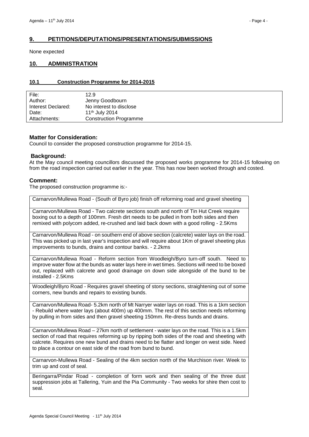# <span id="page-3-0"></span>**9. PETITIONS/DEPUTATIONS/PRESENTATIONS/SUBMISSIONS**

None expected

# <span id="page-3-1"></span>**10. ADMINISTRATION**

#### <span id="page-3-2"></span>**10.1 Construction Programme for 2014-2015**

| File:              | 12.9                          |
|--------------------|-------------------------------|
| Author:            | Jenny Goodbourn               |
| Interest Declared: | No interest to disclose       |
| Date:              | 11 <sup>th</sup> July 2014    |
| Attachments:       | <b>Construction Programme</b> |

#### **Matter for Consideration:**

Council to consider the proposed construction programme for 2014-15.

#### **Background:**

At the May council meeting councillors discussed the proposed works programme for 2014-15 following on from the road inspection carried out earlier in the year. This has now been worked through and costed.

#### **Comment:**

The proposed construction programme is:-

Carnarvon/Mullewa Road - (South of Byro job) finish off reforming road and gravel sheeting

Carnarvon/Mullewa Road - Two calcrete sections south and north of Tin Hut Creek require boxing out to a depth of 100mm. Fresh dirt needs to be pulled in from both sides and then remixed with polycom added, re-crushed and laid back down with a good rolling - 2.5Kms

Carnarvon/Mullewa Road - on southern end of above section (calcrete) water lays on the road. This was picked up in last year's inspection and will require about 1Km of gravel sheeting plus improvements to bunds, drains and contour banks. - 2.2kms

Carnarvon/Mullewa Road - Reform section from Woodleigh/Byro turn-off south. Need to improve water flow at the bunds as water lays here in wet times. Sections will need to be boxed out, replaced with calcrete and good drainage on down side alongside of the bund to be installed - 2.5Kms

Woodleigh/Byro Road - Requires gravel sheeting of stony sections, straightening out of some corners, new bunds and repairs to existing bunds.

Carnarvon/Mullewa Road- 5.2km north of Mt Narryer water lays on road. This is a 1km section - Rebuild where water lays (about 400m) up 400mm. The rest of this section needs reforming by pulling in from sides and then gravel sheeting 150mm. Re-dress bunds and drains.

Carnarvon/Mullewa Road – 27km north of settlement - water lays on the road. This is a 1.5km section of road that requires reforming up by ripping both sides of the road and sheeting with calcrete. Requires one new bund and drains need to be flatter and longer on west side. Need to place a contour on east side of the road from bund to bund.

Carnarvon-Mullewa Road - Sealing of the 4km section north of the Murchison river. Week to trim up and cost of seal.

Beringarra/Pindar Road - completion of form work and then sealing of the three dust suppression jobs at Tallering, Yuin and the Pia Community - Two weeks for shire then cost to seal.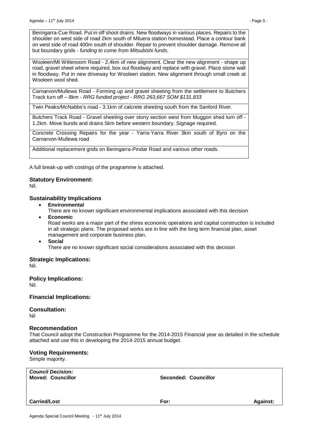Beringarra-Cue Road. Put in off shoot drains. New floodways in various places. Repairs to the shoulder on west side of road 2km south of Miluera station homestead. Place a contour bank on west side of road 400m south of shoulder. Repair to prevent shoulder damage. Remove all but boundary grids - *funding to come from Mitsubishi funds.*

Wooleen/Mt Wittenoom Road - 2.4km of new alignment. Clear the new alignment - shape up road, gravel sheet where required, box out floodway and replace with gravel. Place stone wall in floodway. Put in new driveway for Wooleen station. New alignment through small creek at Wooleen wool shed.

Carnarvon/Mullewa Road - Forming up and gravel sheeting from the settlement to Butchers Track turn off – 8km - *RRG funded project - RRG 263,667 SOM \$131,833*

Twin Peaks/McNabbs's road - 3.1km of calcrete sheeting south from the Sanford River.

Butchers Track Road - Gravel sheeting over stony section west from Muggon shed turn off - 1.2km. Move bunds and drains 5km before western boundary. Signage required.

Concrete Crossing Repairs for the year - Yarra-Yarra River 3km south of Byro on the Carnarvon-Mullewa road

Additional replacement grids on Beringarra-Pindar Road and various other roads.

A full break-up with costings of the programme is attached.

#### **Statutory Environment:**

Nil.

#### **Sustainability Implications**

**Environmental**

There are no known significant environmental implications associated with this decision

**Economic**

Road works are a major part of the shires economic operations and capital construction is included in all strategic plans. The proposed works are in line with the long term financial plan, asset management and corporate business plan.

**Social**

There are no known significant social considerations associated with this decision

#### **Strategic Implications:**

Nil.

**Policy Implications:** Nil.

**Financial Implications:**

**Consultation:**

Nil

#### **Recommendation**

That Council adopt the Construction Programme for the 2014-2015 Financial year as detailed in the schedule attached and use this in developing the 2014-2015 annual budget.

#### **Voting Requirements:**

Simple majority.

*Council Decision:*

**Moved: Councillor Seconded: Councillor**

**Carried/Lost For: Against:**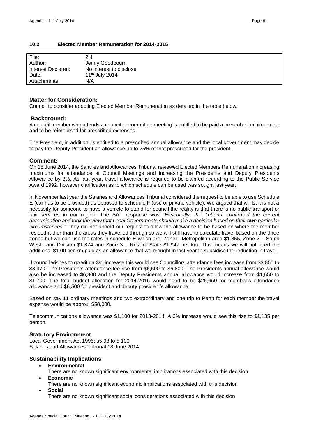# <span id="page-5-0"></span>**10.2 Elected Member Remuneration for 2014-2015**

| File:              | 24                         |
|--------------------|----------------------------|
| Author:            | Jenny Goodbourn            |
| Interest Declared: | No interest to disclose    |
| Date:              | 11 <sup>th</sup> July 2014 |
| Attachments:       | N/A                        |

#### **Matter for Consideration:**

Council to consider adopting Elected Member Remuneration as detailed in the table below.

#### **Background:**

A council member who attends a council or committee meeting is entitled to be paid a prescribed minimum fee and to be reimbursed for prescribed expenses.

The President, in addition, is entitled to a prescribed annual allowance and the local government may decide to pay the Deputy President an allowance up to 25% of that prescribed for the president.

#### **Comment:**

On 18 June 2014, the Salaries and Allowances Tribunal reviewed Elected Members Remuneration increasing maximums for attendance at Council Meetings and increasing the Presidents and Deputy Presidents Allowance by 3%. As last year, travel allowance is required to be claimed according to the Public Service Award 1992, however clarification as to which schedule can be used was sought last year.

In November last year the Salaries and Allowances Tribunal considered the request to be able to use Schedule E (car has to be provided) as opposed to schedule F (use of private vehicle). We argued that whilst it is not a necessity for someone to have a vehicle to stand for council the reality is that there is no public transport or taxi services in our region. The SAT response was "*Essentially, the Tribunal confirmed the current determination and took the view that Local Governments should make a decision based on their own particular circumstances."* They did not uphold our request to allow the allowance to be based on where the member resided rather than the areas they travelled through so we will still have to calculate travel based on the three zones but we can use the rates in schedule E which are: Zone1- Metropolitan area \$1.855, Zone 2 – South West Land Division \$1.874 and Zone 3 – Rest of State \$1.947 per km. This means we will not need the additional \$1.00 per km paid as an allowance that we brought in last year to subsidise the reduction in travel.

If council wishes to go with a 3% increase this would see Councillors attendance fees increase from \$3,850 to \$3,970. The Presidents attendance fee rise from \$6,600 to \$6,800. The Presidents annual allowance would also be increased to \$6,800 and the Deputy Presidents annual allowance would increase from \$1,650 to \$1,700. The total budget allocation for 2014-2015 would need to be \$26,650 for member's attendance allowance and \$8,500 for president and deputy president's allowance.

Based on say 11 ordinary meetings and two extraordinary and one trip to Perth for each member the travel expense would be approx. \$58,000.

Telecommunications allowance was \$1,100 for 2013-2014. A 3% increase would see this rise to \$1,135 per person.

#### **Statutory Environment:**

Local Government Act 1995: s5.98 to 5.100 Salaries and Allowances Tribunal 18 June 2014

#### **Sustainability Implications**

- **Environmental**
- There are no known significant environmental implications associated with this decision
- **Economic**
	- There are no known significant economic implications associated with this decision **Social**

There are no known significant social considerations associated with this decision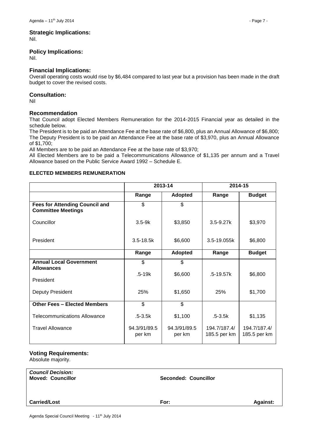# **Strategic Implications:**

Nil.

#### **Policy Implications:**

Nil.

# **Financial Implications:**

Overall operating costs would rise by \$6,484 compared to last year but a provision has been made in the draft budget to cover the revised costs.

# **Consultation:**

Nil

# **Recommendation**

That Council adopt Elected Members Remuneration for the 2014-2015 Financial year as detailed in the schedule below.

The President is to be paid an Attendance Fee at the base rate of \$6,800, plus an Annual Allowance of \$6,800; The Deputy President is to be paid an Attendance Fee at the base rate of \$3,970, plus an Annual Allowance of \$1,700;

All Members are to be paid an Attendance Fee at the base rate of \$3,970;

All Elected Members are to be paid a Telecommunications Allowance of \$1,135 per annum and a Travel Allowance based on the Public Service Award 1992 – Schedule E.

# **ELECTED MEMBERS REMUNERATION**

|                                                                    | 2013-14                |                        | 2014-15                      |                              |
|--------------------------------------------------------------------|------------------------|------------------------|------------------------------|------------------------------|
|                                                                    | Range                  | <b>Adopted</b>         | Range                        | <b>Budget</b>                |
| <b>Fees for Attending Council and</b><br><b>Committee Meetings</b> | \$                     | \$                     |                              |                              |
| Councillor                                                         | $3.5-9k$               | \$3,850                | $3.5 - 9.27k$                | \$3,970                      |
| President                                                          | $3.5 - 18.5k$          | \$6,600                | 3.5-19.055k                  | \$6,800                      |
|                                                                    | Range                  | <b>Adopted</b>         | Range                        | <b>Budget</b>                |
| <b>Annual Local Government</b><br><b>Allowances</b>                | \$                     | \$                     |                              |                              |
|                                                                    | $.5 - 19k$             | \$6,600                | $.5 - 19.57k$                | \$6,800                      |
| President                                                          |                        |                        |                              |                              |
| Deputy President                                                   | 25%                    | \$1,650                | 25%                          | \$1,700                      |
| <b>Other Fees - Elected Members</b>                                | \$                     | \$                     |                              |                              |
| <b>Telecommunications Allowance</b>                                | $.5 - 3.5k$            | \$1,100                | $.5 - 3.5k$                  | \$1,135                      |
| <b>Travel Allowance</b>                                            | 94.3/91/89.5<br>per km | 94.3/91/89.5<br>per km | 194.7/187.4/<br>185.5 per km | 194.7/187.4/<br>185.5 per km |

### **Voting Requirements:**

Absolute majority.

*Council Decision:*

**Moved: Councillor Seconded: Councillor**

#### **Carried/Lost For: Against:**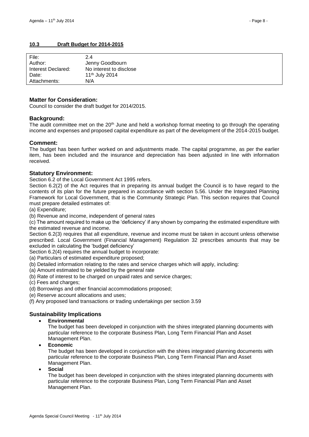# <span id="page-7-0"></span>**10.3 Draft Budget for 2014-2015**

| File:              | 24                         |
|--------------------|----------------------------|
| Author:            | Jenny Goodbourn            |
| Interest Declared: | No interest to disclose    |
| Date:              | 11 <sup>th</sup> July 2014 |
| Attachments:       | N/A                        |

#### **Matter for Consideration:**

Council to consider the draft budget for 2014/2015.

#### **Background:**

The audit committee met on the  $20<sup>th</sup>$  June and held a workshop format meeting to go through the operating income and expenses and proposed capital expenditure as part of the development of the 2014-2015 budget.

#### **Comment:**

The budget has been further worked on and adjustments made. The capital programme, as per the earlier item, has been included and the insurance and depreciation has been adjusted in line with information received.

#### **Statutory Environment:**

Section 6.2 of the Local Government Act 1995 refers.

Section 6.2(2) of the Act requires that in preparing its annual budget the Council is to have regard to the contents of its plan for the future prepared in accordance with section 5.56. Under the Integrated Planning Framework for Local Government, that is the Community Strategic Plan. This section requires that Council must prepare detailed estimates of:

(a) Expenditure;

(b) Revenue and income, independent of general rates

(c) The amount required to make up the 'deficiency' if any shown by comparing the estimated expenditure with the estimated revenue and income.

Section 6.2(3) requires that all expenditure, revenue and income must be taken in account unless otherwise prescribed. Local Government (Financial Management) Regulation 32 prescribes amounts that may be excluded in calculating the 'budget deficiency'

Section 6.2(4) requires the annual budget to incorporate:

(a) Particulars of estimated expenditure proposed;

(b) Detailed information relating to the rates and service charges which will apply, including:

(a) Amount estimated to be yielded by the general rate

(b) Rate of interest to be charged on unpaid rates and service charges;

(c) Fees and charges;

(d) Borrowings and other financial accommodations proposed;

(e) Reserve account allocations and uses;

(f) Any proposed land transactions or trading undertakings per section 3.59

#### **Sustainability Implications**

**Environmental**

The budget has been developed in conjunction with the shires integrated planning documents with particular reference to the corporate Business Plan, Long Term Financial Plan and Asset Management Plan.

**Economic**

The budget has been developed in conjunction with the shires integrated planning documents with particular reference to the corporate Business Plan, Long Term Financial Plan and Asset Management Plan.

**Social**

The budget has been developed in conjunction with the shires integrated planning documents with particular reference to the corporate Business Plan, Long Term Financial Plan and Asset Management Plan.